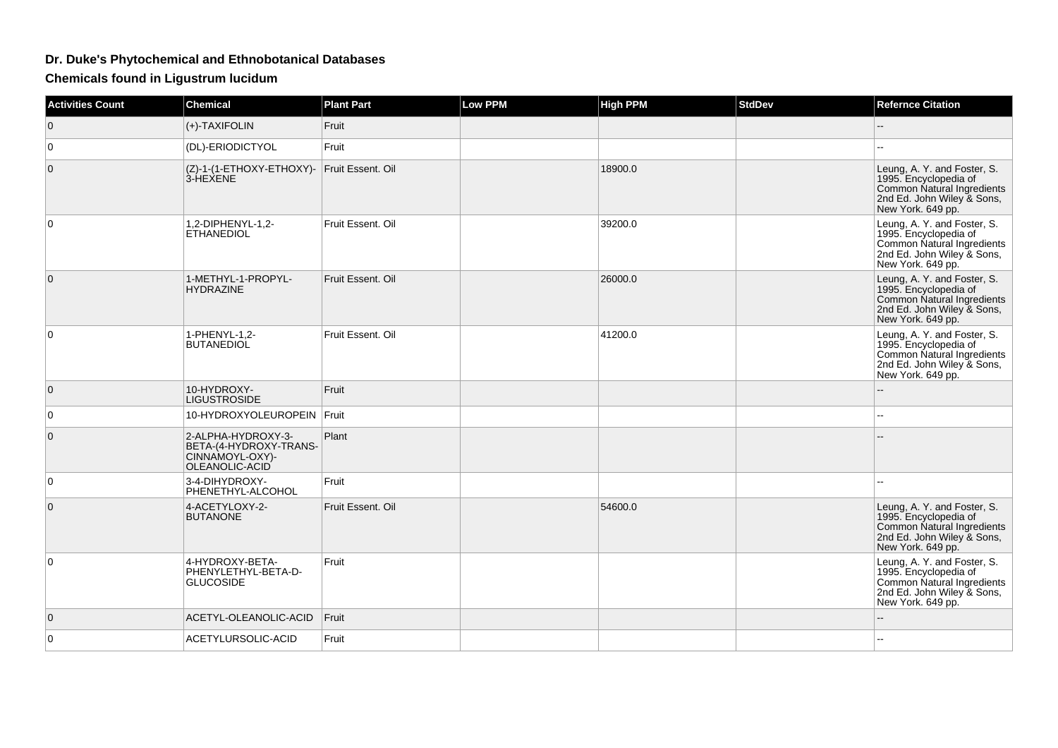## **Dr. Duke's Phytochemical and Ethnobotanical Databases**

**Chemicals found in Ligustrum lucidum**

| <b>Activities Count</b> | <b>Chemical</b>                                                                   | <b>Plant Part</b> | <b>Low PPM</b> | <b>High PPM</b> | <b>StdDev</b> | <b>Refernce Citation</b>                                                                                                              |
|-------------------------|-----------------------------------------------------------------------------------|-------------------|----------------|-----------------|---------------|---------------------------------------------------------------------------------------------------------------------------------------|
| $\overline{0}$          | $(+)$ -TAXIFOLIN                                                                  | Fruit             |                |                 |               | --                                                                                                                                    |
| $\mathbf 0$             | (DL)-ERIODICTYOL                                                                  | Fruit             |                |                 |               |                                                                                                                                       |
| $\mathbf 0$             | (Z)-1-(1-ETHOXY-ETHOXY)- Fruit Essent. Oil<br>3-HEXENE                            |                   |                | 18900.0         |               | Leung, A. Y. and Foster, S.<br>1995. Encyclopedia of<br>Common Natural Ingredients<br>2nd Ed. John Wiley & Sons,<br>New York. 649 pp. |
| $\Omega$                | 1,2-DIPHENYL-1,2-<br><b>ETHANEDIOL</b>                                            | Fruit Essent. Oil |                | 39200.0         |               | Leung, A. Y. and Foster, S.<br>1995. Encyclopedia of<br>Common Natural Ingredients<br>2nd Ed. John Wiley & Sons,<br>New York. 649 pp. |
| $\overline{0}$          | 1-METHYL-1-PROPYL-<br><b>HYDRAZINE</b>                                            | Fruit Essent, Oil |                | 26000.0         |               | Leung, A. Y. and Foster, S.<br>1995. Encyclopedia of<br>Common Natural Ingredients<br>2nd Ed. John Wiley & Sons,<br>New York. 649 pp. |
| $\mathbf 0$             | 1-PHENYL-1,2-<br><b>BUTANEDIOL</b>                                                | Fruit Essent. Oil |                | 41200.0         |               | Leung, A. Y. and Foster, S.<br>1995. Encyclopedia of<br>Common Natural Ingredients<br>2nd Ed. John Wiley & Sons,<br>New York. 649 pp. |
| $\overline{0}$          | 10-HYDROXY-<br><b>LIGUSTROSIDE</b>                                                | Fruit             |                |                 |               |                                                                                                                                       |
| 0                       | 10-HYDROXYOLEUROPEIN Fruit                                                        |                   |                |                 |               |                                                                                                                                       |
| $\mathbf 0$             | 2-ALPHA-HYDROXY-3-<br>BETA-(4-HYDROXY-TRANS-<br>CINNAMOYL-OXY)-<br>OLEANOLIC-ACID | Plant             |                |                 |               |                                                                                                                                       |
| 0                       | 3-4-DIHYDROXY-<br>PHENETHYL-ALCOHOL                                               | Fruit             |                |                 |               |                                                                                                                                       |
| $\mathbf 0$             | 4-ACETYLOXY-2-<br><b>BUTANONE</b>                                                 | Fruit Essent. Oil |                | 54600.0         |               | Leung, A. Y. and Foster, S.<br>1995. Encyclopedia of<br>Common Natural Ingredients<br>2nd Ed. John Wiley & Sons,<br>New York. 649 pp. |
| $\mathbf 0$             | 4-HYDROXY-BETA-<br>PHENYLETHYL-BETA-D-<br><b>GLUCOSIDE</b>                        | Fruit             |                |                 |               | Leung, A. Y. and Foster, S.<br>1995. Encyclopedia of<br>Common Natural Ingredients<br>2nd Ed. John Wiley & Sons,<br>New York. 649 pp. |
| $\mathbf{0}$            | ACETYL-OLEANOLIC-ACID                                                             | Fruit             |                |                 |               |                                                                                                                                       |
| $\mathbf 0$             | ACETYLURSOLIC-ACID                                                                | Fruit             |                |                 |               |                                                                                                                                       |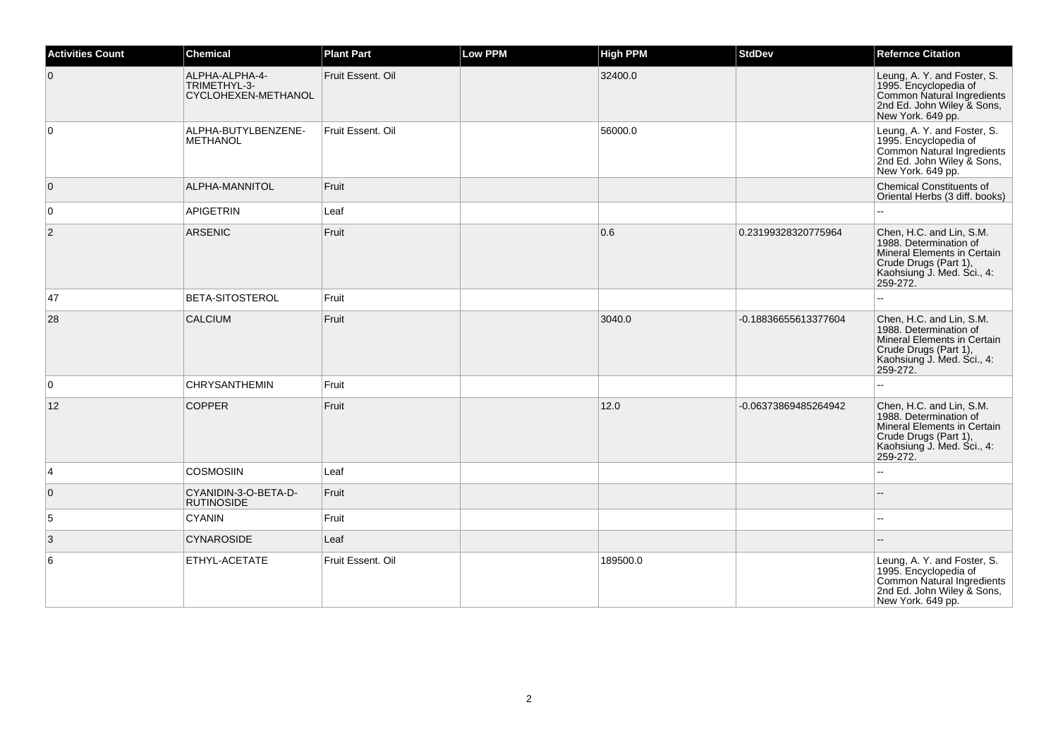| <b>Activities Count</b> | <b>Chemical</b>                                       | <b>Plant Part</b> | <b>Low PPM</b> | <b>High PPM</b> | <b>StdDev</b>        | <b>Refernce Citation</b>                                                                                                                             |
|-------------------------|-------------------------------------------------------|-------------------|----------------|-----------------|----------------------|------------------------------------------------------------------------------------------------------------------------------------------------------|
| $\overline{0}$          | ALPHA-ALPHA-4-<br>TRIMETHYL-3-<br>CYCLOHEXEN-METHANOL | Fruit Essent. Oil |                | 32400.0         |                      | Leung, A. Y. and Foster, S.<br>1995. Encyclopedia of<br>Common Natural Ingredients<br>2nd Ed. John Wiley & Sons,<br>New York. 649 pp.                |
| 0                       | ALPHA-BUTYLBENZENE-<br><b>METHANOL</b>                | Fruit Essent. Oil |                | 56000.0         |                      | Leung, A. Y. and Foster, S.<br>1995. Encyclopedia of<br>Common Natural Ingredients<br>2nd Ed. John Wiley & Sons,<br>New York. 649 pp.                |
| $\overline{0}$          | ALPHA-MANNITOL                                        | Fruit             |                |                 |                      | <b>Chemical Constituents of</b><br>Oriental Herbs (3 diff. books)                                                                                    |
| $\overline{0}$          | <b>APIGETRIN</b>                                      | Leaf              |                |                 |                      | ÷.                                                                                                                                                   |
| $\overline{2}$          | <b>ARSENIC</b>                                        | Fruit             |                | 0.6             | 0.23199328320775964  | Chen, H.C. and Lin, S.M.<br>1988. Determination of<br>Mineral Elements in Certain<br>Crude Drugs (Part 1),<br>Kaohsiung J. Med. Sci., 4:<br>259-272. |
| 47                      | <b>BETA-SITOSTEROL</b>                                | Fruit             |                |                 |                      |                                                                                                                                                      |
| 28                      | <b>CALCIUM</b>                                        | Fruit             |                | 3040.0          | -0.18836655613377604 | Chen, H.C. and Lin, S.M.<br>1988. Determination of<br>Mineral Elements in Certain<br>Crude Drugs (Part 1),<br>Kaohsiung J. Med. Sci., 4:<br>259-272. |
| 0                       | <b>CHRYSANTHEMIN</b>                                  | Fruit             |                |                 |                      |                                                                                                                                                      |
| 12                      | <b>COPPER</b>                                         | Fruit             |                | 12.0            | -0.06373869485264942 | Chen, H.C. and Lin, S.M.<br>1988. Determination of<br>Mineral Elements in Certain<br>Crude Drugs (Part 1),<br>Kaohsiung J. Med. Sci., 4:<br>259-272. |
| $\overline{4}$          | <b>COSMOSIIN</b>                                      | Leaf              |                |                 |                      |                                                                                                                                                      |
| $\overline{0}$          | CYANIDIN-3-O-BETA-D-<br><b>RUTINOSIDE</b>             | Fruit             |                |                 |                      |                                                                                                                                                      |
| 5                       | <b>CYANIN</b>                                         | Fruit             |                |                 |                      |                                                                                                                                                      |
| 3                       | <b>CYNAROSIDE</b>                                     | Leaf              |                |                 |                      |                                                                                                                                                      |
| 6                       | ETHYL-ACETATE                                         | Fruit Essent, Oil |                | 189500.0        |                      | Leung, A. Y. and Foster, S.<br>1995. Encyclopedia of<br>Common Natural Ingredients<br>2nd Ed. John Wiley & Sons,<br>New York. 649 pp.                |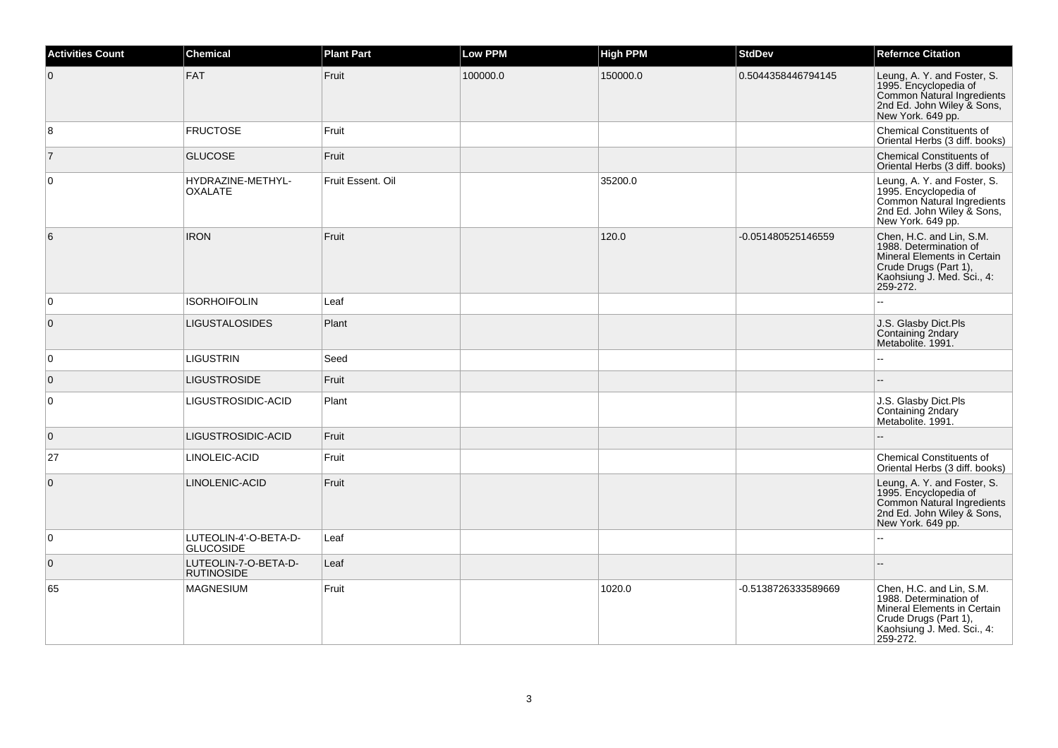| <b>Activities Count</b> | <b>Chemical</b>                           | <b>Plant Part</b> | <b>Low PPM</b> | <b>High PPM</b> | <b>StdDev</b>       | <b>Refernce Citation</b>                                                                                                                             |
|-------------------------|-------------------------------------------|-------------------|----------------|-----------------|---------------------|------------------------------------------------------------------------------------------------------------------------------------------------------|
| $\overline{0}$          | FAT                                       | Fruit             | 100000.0       | 150000.0        | 0.5044358446794145  | Leung, A. Y. and Foster, S.<br>1995. Encyclopedia of<br>Common Natural Ingredients<br>2nd Ed. John Wiley & Sons,<br>New York. 649 pp.                |
| 8                       | <b>FRUCTOSE</b>                           | Fruit             |                |                 |                     | Chemical Constituents of<br>Oriental Herbs (3 diff. books)                                                                                           |
| $\overline{7}$          | <b>GLUCOSE</b>                            | Fruit             |                |                 |                     | Chemical Constituents of<br>Oriental Herbs (3 diff. books)                                                                                           |
| $\overline{0}$          | HYDRAZINE-METHYL-<br><b>OXALATE</b>       | Fruit Essent. Oil |                | 35200.0         |                     | Leung, A. Y. and Foster, S.<br>1995. Encyclopedia of<br>Common Natural Ingredients<br>2nd Ed. John Wiley & Sons,<br>New York. 649 pp.                |
| 6                       | <b>IRON</b>                               | Fruit             |                | 120.0           | -0.051480525146559  | Chen, H.C. and Lin, S.M.<br>1988. Determination of<br>Mineral Elements in Certain<br>Crude Drugs (Part 1),<br>Kaohsiung J. Med. Sci., 4:<br>259-272. |
| $\overline{0}$          | <b>ISORHOIFOLIN</b>                       | Leaf              |                |                 |                     | $\overline{a}$                                                                                                                                       |
| $\overline{0}$          | <b>LIGUSTALOSIDES</b>                     | Plant             |                |                 |                     | J.S. Glasby Dict.Pls<br>Containing 2ndary<br>Metabolite. 1991.                                                                                       |
| 0                       | <b>LIGUSTRIN</b>                          | Seed              |                |                 |                     |                                                                                                                                                      |
| $\overline{0}$          | <b>LIGUSTROSIDE</b>                       | Fruit             |                |                 |                     |                                                                                                                                                      |
| $\overline{0}$          | LIGUSTROSIDIC-ACID                        | Plant             |                |                 |                     | J.S. Glasby Dict.Pls<br>Containing 2ndary<br>Metabolite. 1991.                                                                                       |
| $\overline{0}$          | LIGUSTROSIDIC-ACID                        | Fruit             |                |                 |                     |                                                                                                                                                      |
| 27                      | LINOLEIC-ACID                             | Fruit             |                |                 |                     | <b>Chemical Constituents of</b><br>Oriental Herbs (3 diff. books)                                                                                    |
| $\overline{0}$          | LINOLENIC-ACID                            | Fruit             |                |                 |                     | Leung, A. Y. and Foster, S.<br>1995. Encyclopedia of<br>Common Natural Ingredients<br>2nd Ed. John Wiley & Sons,<br>New York. 649 pp.                |
| $\overline{0}$          | LUTEOLIN-4'-O-BETA-D-<br><b>GLUCOSIDE</b> | Leaf              |                |                 |                     |                                                                                                                                                      |
| $\overline{0}$          | LUTEOLIN-7-O-BETA-D-<br><b>RUTINOSIDE</b> | Leaf              |                |                 |                     |                                                                                                                                                      |
| 65                      | MAGNESIUM                                 | Fruit             |                | 1020.0          | -0.5138726333589669 | Chen, H.C. and Lin, S.M.<br>1988. Determination of<br>Mineral Elements in Certain<br>Crude Drugs (Part 1),<br>Kaohsiung J. Med. Sci., 4:<br>259-272. |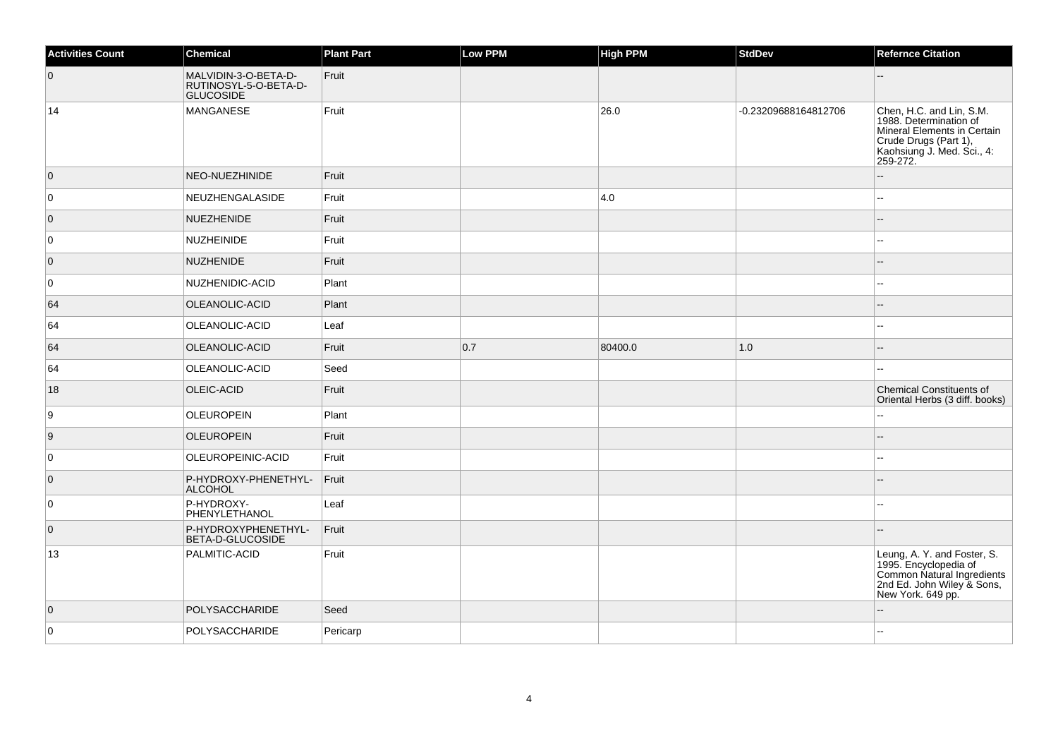| <b>Activities Count</b> | Chemical                                                          | <b>Plant Part</b> | Low PPM | <b>High PPM</b> | <b>StdDev</b>        | <b>Refernce Citation</b>                                                                                                                             |
|-------------------------|-------------------------------------------------------------------|-------------------|---------|-----------------|----------------------|------------------------------------------------------------------------------------------------------------------------------------------------------|
| $\overline{0}$          | MALVIDIN-3-O-BETA-D-<br>RUTINOSYL-5-O-BETA-D-<br><b>GLUCOSIDE</b> | Fruit             |         |                 |                      |                                                                                                                                                      |
| 14                      | MANGANESE                                                         | Fruit             |         | 26.0            | -0.23209688164812706 | Chen, H.C. and Lin, S.M.<br>1988. Determination of<br>Mineral Elements in Certain<br>Crude Drugs (Part 1),<br>Kaohsiung J. Med. Sci., 4:<br>259-272. |
| $\overline{0}$          | <b>NEO-NUEZHINIDE</b>                                             | Fruit             |         |                 |                      |                                                                                                                                                      |
| 0                       | NEUZHENGALASIDE                                                   | Fruit             |         | 4.0             |                      | --                                                                                                                                                   |
| $\overline{0}$          | NUEZHENIDE                                                        | Fruit             |         |                 |                      | $-$                                                                                                                                                  |
| 0                       | <b>NUZHEINIDE</b>                                                 | Fruit             |         |                 |                      | ۵۵                                                                                                                                                   |
| $\overline{0}$          | NUZHENIDE                                                         | Fruit             |         |                 |                      | --                                                                                                                                                   |
| 0                       | NUZHENIDIC-ACID                                                   | Plant             |         |                 |                      | --                                                                                                                                                   |
| 64                      | OLEANOLIC-ACID                                                    | Plant             |         |                 |                      | --                                                                                                                                                   |
| 64                      | OLEANOLIC-ACID                                                    | Leaf              |         |                 |                      | --                                                                                                                                                   |
| 64                      | OLEANOLIC-ACID                                                    | Fruit             | 0.7     | 80400.0         | 1.0                  | $-$                                                                                                                                                  |
| 64                      | OLEANOLIC-ACID                                                    | Seed              |         |                 |                      | $\overline{a}$                                                                                                                                       |
| 18                      | <b>OLEIC-ACID</b>                                                 | Fruit             |         |                 |                      | <b>Chemical Constituents of</b><br>Oriental Herbs (3 diff. books)                                                                                    |
| 9                       | <b>OLEUROPEIN</b>                                                 | Plant             |         |                 |                      | 44                                                                                                                                                   |
| 9                       | <b>OLEUROPEIN</b>                                                 | Fruit             |         |                 |                      | --                                                                                                                                                   |
| $\mathbf 0$             | OLEUROPEINIC-ACID                                                 | Fruit             |         |                 |                      | --                                                                                                                                                   |
| $\overline{0}$          | P-HYDROXY-PHENETHYL-<br>ALCOHOL                                   | Fruit             |         |                 |                      |                                                                                                                                                      |
| $\mathbf 0$             | P-HYDROXY-<br>PHENYLETHANOL                                       | Leaf              |         |                 |                      | --                                                                                                                                                   |
| $\overline{0}$          | P-HYDROXYPHENETHYL-<br><b>BETA-D-GLUCOSIDE</b>                    | Fruit             |         |                 |                      |                                                                                                                                                      |
| 13                      | PALMITIC-ACID                                                     | Fruit             |         |                 |                      | Leung, A. Y. and Foster, S.<br>1995. Encyclopedia of<br>Common Natural Ingredients<br>2nd Ed. John Wiley & Sons,<br>New York. 649 pp.                |
| $\overline{0}$          | POLYSACCHARIDE                                                    | Seed              |         |                 |                      |                                                                                                                                                      |
| 0                       | POLYSACCHARIDE                                                    | Pericarp          |         |                 |                      |                                                                                                                                                      |